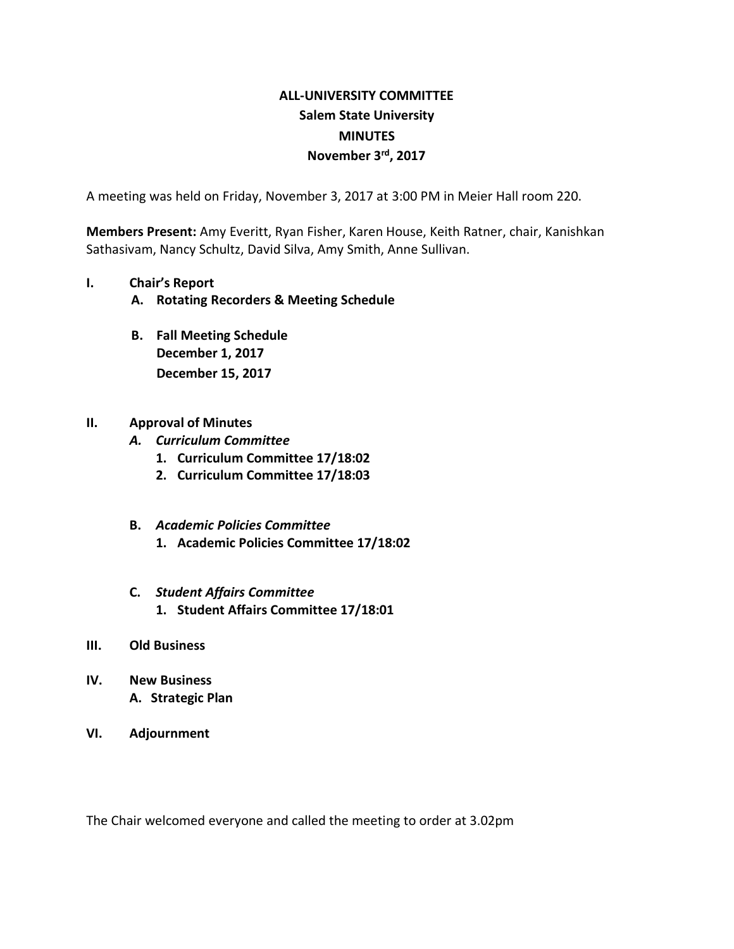# **ALL-UNIVERSITY COMMITTEE Salem State University MINUTES November 3rd, 2017**

A meeting was held on Friday, November 3, 2017 at 3:00 PM in Meier Hall room 220.

**Members Present:** Amy Everitt, Ryan Fisher, Karen House, Keith Ratner, chair, Kanishkan Sathasivam, Nancy Schultz, David Silva, Amy Smith, Anne Sullivan.

#### **I. Chair's Report**

- **A. Rotating Recorders & Meeting Schedule**
- **B. Fall Meeting Schedule December 1, 2017 December 15, 2017**

## **II. Approval of Minutes**

- *A. Curriculum Committee*
	- **1. Curriculum Committee 17/18:02**
	- **2. Curriculum Committee 17/18:03**

## **B.** *Academic Policies Committee*

**1. Academic Policies Committee 17/18:02**

#### **C.** *Student Affairs Committee* **1. Student Affairs Committee 17/18:01**

#### **III. Old Business**

- **IV. New Business A. Strategic Plan**
- **VI. Adjournment**

The Chair welcomed everyone and called the meeting to order at 3.02pm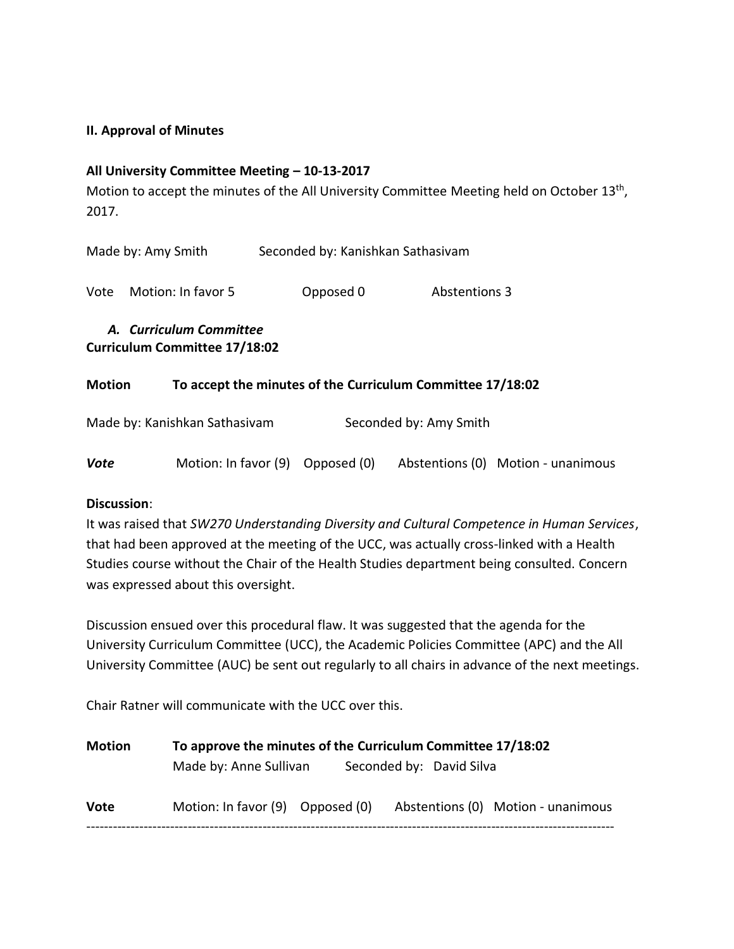## **II. Approval of Minutes**

## **All University Committee Meeting – 10-13-2017**

Motion to accept the minutes of the All University Committee Meeting held on October 13<sup>th</sup>, 2017.

|                    | A. Curriculum Committee |                                   |                      |  |  |
|--------------------|-------------------------|-----------------------------------|----------------------|--|--|
| Vote               | Motion: In favor 5      | Opposed 0                         | <b>Abstentions 3</b> |  |  |
| Made by: Amy Smith |                         | Seconded by: Kanishkan Sathasivam |                      |  |  |

**Curriculum Committee 17/18:02**

## **Motion To accept the minutes of the Curriculum Committee 17/18:02**

| Made by: Kanishkan Sathasivam |                                  | Seconded by: Amy Smith |                                    |
|-------------------------------|----------------------------------|------------------------|------------------------------------|
| Vote                          | Motion: In favor (9) Opposed (0) |                        | Abstentions (0) Motion - unanimous |

## **Discussion**:

It was raised that *SW270 Understanding Diversity and Cultural Competence in Human Services*, that had been approved at the meeting of the UCC, was actually cross-linked with a Health Studies course without the Chair of the Health Studies department being consulted. Concern was expressed about this oversight.

Discussion ensued over this procedural flaw. It was suggested that the agenda for the University Curriculum Committee (UCC), the Academic Policies Committee (APC) and the All University Committee (AUC) be sent out regularly to all chairs in advance of the next meetings.

Chair Ratner will communicate with the UCC over this.

| <b>Motion</b> | To approve the minutes of the Curriculum Committee 17/18:02 |                          |  |                                    |
|---------------|-------------------------------------------------------------|--------------------------|--|------------------------------------|
|               | Made by: Anne Sullivan                                      | Seconded by: David Silva |  |                                    |
| <b>Vote</b>   | Motion: In favor (9) Opposed (0)                            |                          |  | Abstentions (0) Motion - unanimous |
|               |                                                             |                          |  |                                    |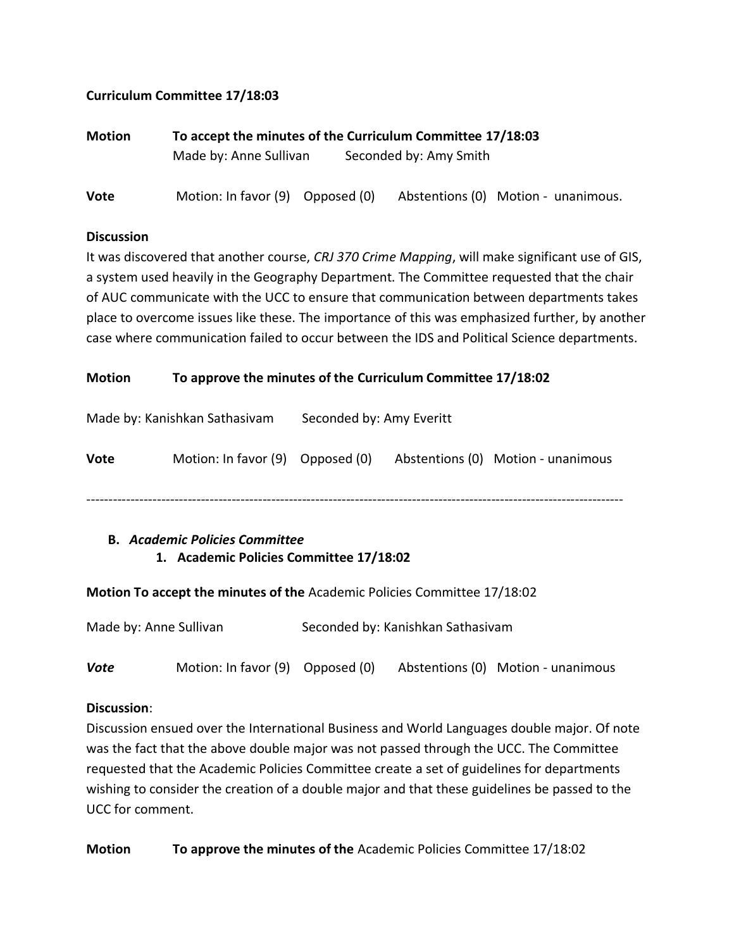## **Curriculum Committee 17/18:03**

| Motion | To accept the minutes of the Curriculum Committee 17/18:03 |  |                        |                                     |  |
|--------|------------------------------------------------------------|--|------------------------|-------------------------------------|--|
|        | Made by: Anne Sullivan                                     |  | Seconded by: Amy Smith |                                     |  |
| Vote   | Motion: In favor (9) Opposed (0)                           |  |                        | Abstentions (0) Motion - unanimous. |  |

#### **Discussion**

It was discovered that another course, *CRJ 370 Crime Mapping*, will make significant use of GIS, a system used heavily in the Geography Department. The Committee requested that the chair of AUC communicate with the UCC to ensure that communication between departments takes place to overcome issues like these. The importance of this was emphasized further, by another case where communication failed to occur between the IDS and Political Science departments.

## **Motion To approve the minutes of the Curriculum Committee 17/18:02**

| Made by: Kanishkan Sathasivam |                                  | Seconded by: Amy Everitt |  |                                    |
|-------------------------------|----------------------------------|--------------------------|--|------------------------------------|
| Vote                          | Motion: In favor (9) Opposed (0) |                          |  | Abstentions (0) Motion - unanimous |
|                               |                                  |                          |  |                                    |

## **B.** *Academic Policies Committee* **1. Academic Policies Committee 17/18:02**

## **Motion To accept the minutes of the** Academic Policies Committee 17/18:02

| Made by: Anne Sullivan |                                  | Seconded by: Kanishkan Sathasivam |  |                                    |
|------------------------|----------------------------------|-----------------------------------|--|------------------------------------|
| Vote                   | Motion: In favor (9) Opposed (0) |                                   |  | Abstentions (0) Motion - unanimous |

# **Discussion**:

Discussion ensued over the International Business and World Languages double major. Of note was the fact that the above double major was not passed through the UCC. The Committee requested that the Academic Policies Committee create a set of guidelines for departments wishing to consider the creation of a double major and that these guidelines be passed to the UCC for comment.

**Motion To approve the minutes of the** Academic Policies Committee 17/18:02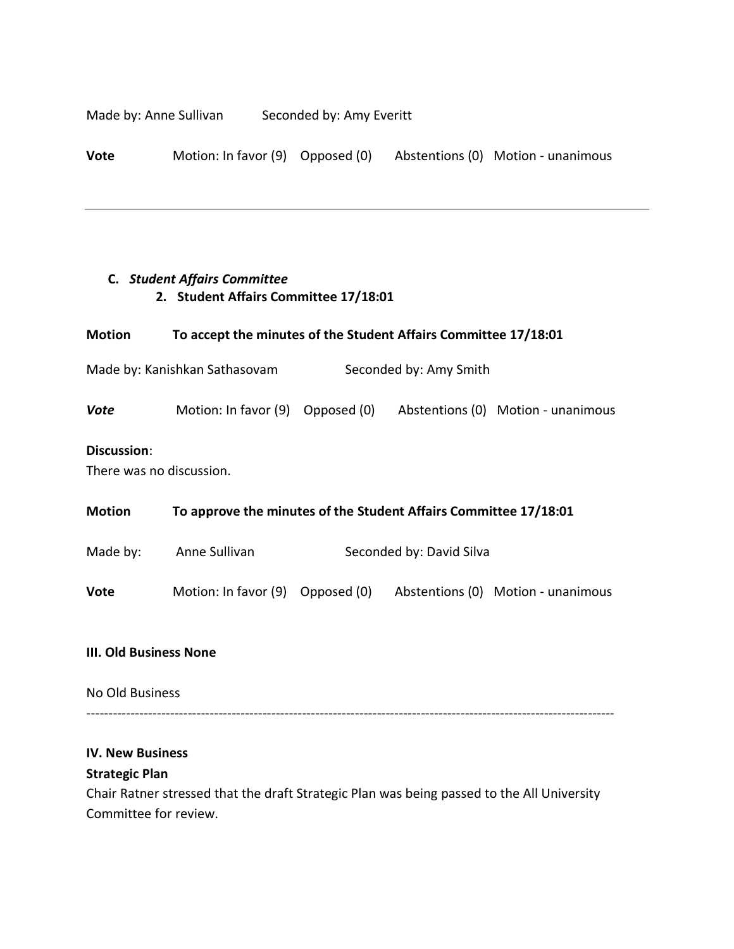Made by: Anne Sullivan Seconded by: Amy Everitt

**Vote** Motion: In favor (9) Opposed (0) Abstentions (0) Motion - unanimous

## **C.** *Student Affairs Committee* **2. Student Affairs Committee 17/18:01**

| Motion                                                  | To accept the minutes of the Student Affairs Committee 17/18:01                                                     |                          |  |                                                                     |  |
|---------------------------------------------------------|---------------------------------------------------------------------------------------------------------------------|--------------------------|--|---------------------------------------------------------------------|--|
| Made by: Kanishkan Sathasovam<br>Seconded by: Amy Smith |                                                                                                                     |                          |  |                                                                     |  |
| <b>Vote</b>                                             |                                                                                                                     |                          |  | Motion: In favor (9) Opposed (0) Abstentions (0) Motion - unanimous |  |
| Discussion:<br>There was no discussion.                 |                                                                                                                     |                          |  |                                                                     |  |
| Motion                                                  | To approve the minutes of the Student Affairs Committee 17/18:01                                                    |                          |  |                                                                     |  |
|                                                         | Made by: Anne Sullivan                                                                                              | Seconded by: David Silva |  |                                                                     |  |
| Vote                                                    | Motion: In favor (9) Opposed (0) Abstentions (0) Motion - unanimous                                                 |                          |  |                                                                     |  |
| <b>III. Old Business None</b>                           |                                                                                                                     |                          |  |                                                                     |  |
| No Old Business                                         |                                                                                                                     |                          |  |                                                                     |  |
| <b>IV. New Business</b><br><b>Strategic Plan</b>        |                                                                                                                     |                          |  |                                                                     |  |
|                                                         | Chair Ratner stressed that the draft Strategic Plan was being passed to the All University<br>Committee for review. |                          |  |                                                                     |  |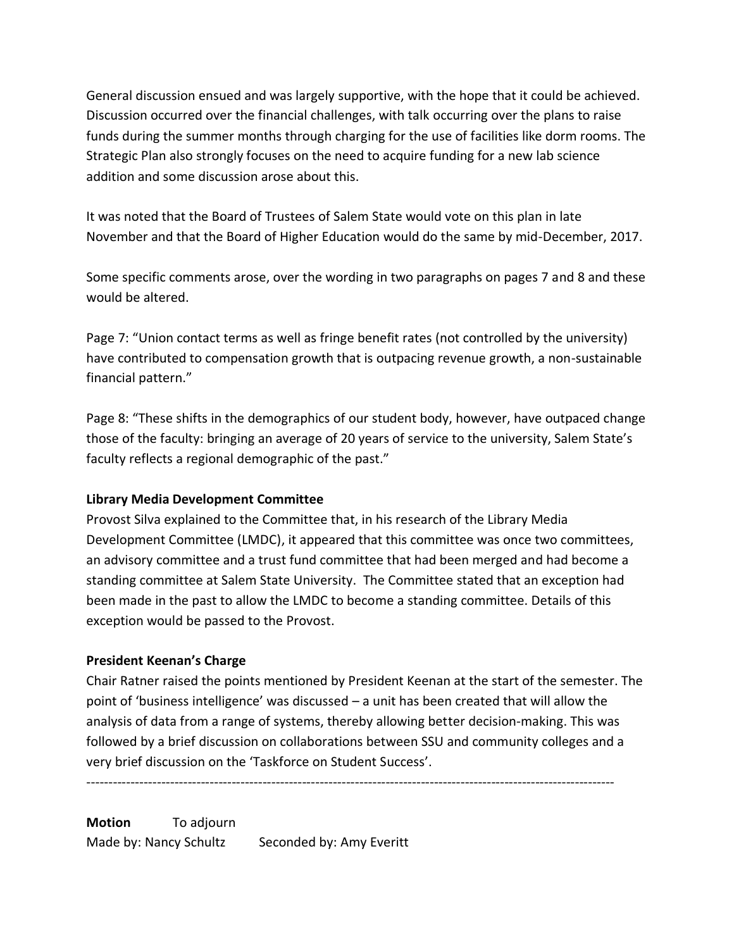General discussion ensued and was largely supportive, with the hope that it could be achieved. Discussion occurred over the financial challenges, with talk occurring over the plans to raise funds during the summer months through charging for the use of facilities like dorm rooms. The Strategic Plan also strongly focuses on the need to acquire funding for a new lab science addition and some discussion arose about this.

It was noted that the Board of Trustees of Salem State would vote on this plan in late November and that the Board of Higher Education would do the same by mid-December, 2017.

Some specific comments arose, over the wording in two paragraphs on pages 7 and 8 and these would be altered.

Page 7: "Union contact terms as well as fringe benefit rates (not controlled by the university) have contributed to compensation growth that is outpacing revenue growth, a non-sustainable financial pattern."

Page 8: "These shifts in the demographics of our student body, however, have outpaced change those of the faculty: bringing an average of 20 years of service to the university, Salem State's faculty reflects a regional demographic of the past."

## **Library Media Development Committee**

Provost Silva explained to the Committee that, in his research of the Library Media Development Committee (LMDC), it appeared that this committee was once two committees, an advisory committee and a trust fund committee that had been merged and had become a standing committee at Salem State University. The Committee stated that an exception had been made in the past to allow the LMDC to become a standing committee. Details of this exception would be passed to the Provost.

## **President Keenan's Charge**

Chair Ratner raised the points mentioned by President Keenan at the start of the semester. The point of 'business intelligence' was discussed – a unit has been created that will allow the analysis of data from a range of systems, thereby allowing better decision-making. This was followed by a brief discussion on collaborations between SSU and community colleges and a very brief discussion on the 'Taskforce on Student Success'.

------------------------------------------------------------------------------------------------------------------------

**Motion** To adjourn Made by: Nancy Schultz Seconded by: Amy Everitt